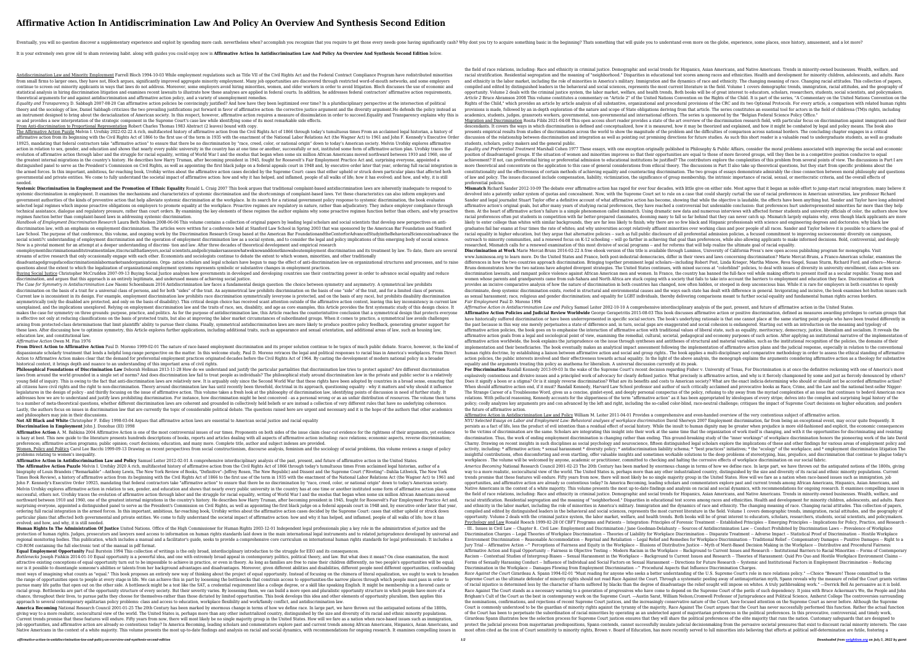## **Affirmative Action In Antidiscrimination Law And Policy An Overview And Synthesis Second Edition**

Eventually, you will no question discover a supplementary experience and exploit by spending more cash. nevertheless when? accomplish you recognize that you require something basic in the beginning? Thats something that wi

It is your extremely own grow old to sham reviewing habit. along with guides you could enjoy now is **Affirmative Action In Antidiscrimination Law And Policy An Overview And Synthesis Second Edition** below.

Equality and Transparency D. Sabbagh 2007-08-20 Can affirmative action policies be convincingly justified? And how have they been legitimized over time? In a pluridisciplinary perspective at the intersection of political theory and the sociology of law, Daniel Sabbagh criticizes the two prevailing justifications put forward in favor of affirmative action: the corrective justice argument and the diversity argument. He defends the policy ins an instrument designed to bring about the deracialization of American society. In this respect, however, affirmative action requires a measure of dissimulation in order to succeed. Equality and Transparency explains why th so and provides a new interpretation of the strategic component in the Supreme Court's case law while identifying some of its most remarkable side effects.

Antidiscrimination Law and Minority Employment Farrell Bloch 1994-10-03 While employment regulations such as Title VII of the Civil Rights Act and the Federal Contract Compliance Program have redistributed minorities from small firms to larger ones, they have not, Bloch argues, significantly improved aggregate minority employment. Many job opportunities are discovered through restricted word-of-mouth networks, and some employers continue to screen out minority applicants in ways that laws do not address. Moreover, some employers avoid hiring minorities, women, and older workers in order to avoid litigation. Bloch discusses the use of economic and statistical analysis in hiring discrimination litigation and examines recent lawsuits to illustrate how these analyses are applied in federal courts. In addition, he addresses federal contractors' affirmative action requir theoretical arguments for and against antidiscrimination and affirmative action policy, and a variety of unemployment remedies.

**Systemic Discrimination in Employment and the Promotion of Ethnic Equality** Ronald L. Craig 2007 This book argues that traditional complaint-based antidiscrimination laws are inherently inadequate to respond to systemic discrimination in employment. It examines the mechanisms and characteristics of systemic discrimination and the shortcomings of complaint-based laws. Yet these characteristics can also inform employers and government authorities of the kinds of preventive action that help alleviate systemic discrimination at the workplace. In its search for a rational government policy response to systemic discrimination, the book evaluates selected legal regimes which impose proactive obligations on employers to promote equality at the workplace. Proactive regimes are regulatory in nature, rather than adjudicatory. They induce employer compliance through technical assistance, dialogue and regulatory pressure, rather than court orders. By examining the key elements of these regimes the author explains why some proactive regimes function better than others, and why proactive regimes function better than complaint-based laws in addressing systemic discrimination.

Buying Social Justice Christopher McCrudden 2007-09-13 Buying Social Justice analyses how governments in developed and developing countries use their contracting power in order to advance social equality and reduce discrimination, and argues that this approach is an entirely legitimate, and underused means of achieving social justice.

From Direct Action to Affirmative Action Paul D. Moreno 1999-02-01 The nature of race-based employment discrimination and its proper solution continue to be topics of much public debate. Scarce, however, is the kind of dispassionate scholarly treatment that lends a helpful long-range perspective on the matter. In this welcome study, Paul D. Moreno retraces the legal and political responses to racial bias in America's workplaces. From Dir Action to Affirmative Action makes clear that the demand for preferential employment practices originated decades before the Civil Rights Act of 1964. By casting the development of modern national policy in a broader historical context, it brings depth and nuance to an understanding of this important area of civil rights.

**Philosophical Foundations of Discrimination Law** Deborah Hellman 2013-11-28 How do we understand and justify the particular partialities that discrimination law tries to protect against? Are different discrimination laws from around the world grounded in a single set of norms? And does discrimination law fail to treat people as individuals? The philosophical study around discrimination law in the private and public sector is a relativ young field of inquiry. This is owing to the fact that anti-discrimination laws are relatively new. It is arguably only since the Second World War that these rights have been adopted by countries in a broad sense, ensuring all citizens have civil rights and the right to non-discrimination. Theory around discrimination law has until recently been threefold, doctrinal in its approach, questioning equality - why it matters and why should it inf legislatures in the design of policy - and thirdly focusing on the issue of affirmative action. This volume takes a fresh look at the philosophy of discrimination law, identifying points of discussion in need of further st addresses how we are to understand and justify laws prohibiting discrimination. For instance, how discrimination might be best conceived - as a personal wrong or as an unfair distribution of resources. The volume then turn to a number of meta-theoretical questions, whether different discrimination laws are coherent and grounded in collectively held beliefs or are instead a collection of very different rules that have no underlying coherence. Lastly, the authors focus on issues in discrimination law that are currently the topic of considerable political debate. The questions raised here are urgent and necessary and it is the hope of the authors that other acade and philosophers may join in their discussions.

*Handbook of Employment Discrimination Research* Laura Beth Nielsen 2008-06-06 This volume contains a collection of original papers by leading legal scholars and social scientists that develop new perspectives on antidiscrimination law, with an emphasis on employment discrimination. The articles were written for a conference held at Stanford Law School in Spring 2003 that was sponsored by the American Bar Foundation and Stanford Law School. The purpose of that conference, this volume, and ongoing work by the Discrimination Research Group based at the American Bar FoundationandtheCenterforAdvancedStudyintheBehavioralSciencesistoadvance the social scienti?c understanding of employment discrimination and the operation of employment discrimination law as a social system, and to consider the legal and policy implications of this emerging body of social science. Now is a pivotal moment for an attempt at a deeper understanding of discrimi- tion and law. After three decades of theoretical development and empirical research

**Affirmative Action** A. M. Babkina 2004 Affirmative Action is one of the most controversial issues of our times. Proponents on both sides of the issue claim clear-cut evidence for the rightness of their arguments, yet evid is hazy at best. This new guide to the literature presents hundreds descriptions of books, reports and articles dealing with all aspects of affirmative action including: race relations; economic aspects, reverse discrimina preferences; affirmative action programs; public opinion; court decisions; education, and many more. Complete title, author and subject indexes are provided. Women, Policy and Politics Carol Lee Bacchi 1999-09-13 Drawing on recent perspectives from social constructionism, discourse analysis, feminism and the sociology of social problems, this volume reviews a range of policy problems relating to women's inequality.

onemploymentdiscriminationanditstreatmentinlaw,itiscrucialthatlawyers,social scientists,andpolicymakersassesswhatweknowanddonotknowaboutemployment discrimination and its treatment by law. To date, there are several streams of active research that only occasionally engage with each other. Economists and sociologists continue to debate the extent to which women, minorities, and other traditionally disadvantagedgroupsfacediscriminationinlabormarketsandorganizations. Orga- zation scholars and legal scholars have begun to map the effect of anti-discrimination law on organizational structures and processes, and to raise questions about the extent to which the legalization of organizational employment systems represents symbolic or substantive changes in employment practices.

*The Case for Symmetry in Antidiscrimination Law* Naomi Schoenbaum 2016 Antidiscrimination law faces a fundamental design question: the choice between symmetry and asymmetry. A symmetrical law prohibits discrimination on the basis of a trait for a universal class of persons, and for both "sides" of the trait. An asymmetrical law prohibits discrimination on the basis of one "side" of the trait, and for a limited class of p Current law is inconsistent in its design. For example, employment discrimination law prohibits race discrimination symmetrically (everyone is protected, and on the basis of any race), but prohibits disability discrimination asymmetrically (only the disabled are protected, and only on the basis of disability). This critical design choice has received scant attention outside of the affirmative action context, leaving this key inconsistency in c unexplained, and the implications unexplored. Relying on employment discrimination law and the traits of race, sex, disability, and age as core examples, this Article provides the first systematic study of this design choi makes the case for symmetry on three grounds: purpose, practice, and politics. As for the purpose of antidiscrimination law, this Article reaches the counterintuitive conclusion that a symmetrical design that protects ever is effective not only at reducing classifications on the basis of protected traits, but also at improving the labor market circumstances of subordinated groups. When it comes to practice, a symmetrical law avoids challenges arising from protected-class determinations that limit plaintiffs' ability to pursue their claims. Finally, symmetrical antidiscrimination laws are more likely to produce positive policy feedback, generating greater suppor these laws. After discussing how to optimize symmetry, this Article explores further applications, including additional traits, such as appearance and sexual orientation, and additional areas of law, such as housing law, education law, and constitutional law.

the field of race relations, including: Race and ethnicity in criminal justice. Demographic and social trends for Hispanics, Asian Americans, and Native Americans. Trends in minority-owned businesses. Wealth, welfare, and racial stratification. Residential segregation and the meaning of "neighborhood." Disparities in educational test scores among races and ethnicities. Health and development for minority children, adolescents, and adults. R and ethnicity in the labor market, including the role of minorities in America's military. Immigration and the dynamics of race and ethnicity. The changing meaning of race. Changing racial attitudes. This collection of pap compiled and edited by distinguished leaders in the behavioral and social sciences, represents the most current literature in the field. Volume 1 covers demographic trends, immigration, racial attitudes, and the geography of opportunity. Volume 2 deals with the criminal justice system, the labor market, welfare, and health trends, Both books will be of great interest to educators, scholars, researchers, students, social scientists, and policym Article 2 Bruce Abramson 2008 This volume constitutes a commentary on "Article 2" of the United Nations Convention on the Rights of the Child. It is part of the series, "A Commentary on the United Nations Convention on the Rights of the Child," which provides an article by article analysis of all substantive, organizational and procedural provisions of the CRC and its two Optional Protocols. For every article, a comparison with related human provisions is made, followed by an in-depth exploration of the nature and scope of State obligations deriving from that article. The series constitutes an essential tool for actors in the field of childrena (TM)s rights, i academics, students, judges, grassroots workers, governmental, non-governmental and international officers. The series is sponsored by the "Belgian Federal Science Policy Office." Migration and Discrimination Rosita Fibbi 2021-04-08 This open access short reader provides a state of the art overview of the discrimination research field, with particular focus on discrimination against immigrants and t

## *Affirmative Action* Owen M. Fiss 1976

**Not All Black and White** Christopher F. Edley 1998-03-04 Argues that affirmative action laws are essential to American social justice and racial equality **Discrimination in Employment** John J. Donohue (III) 1998

From Anti-discrimination to Proportional Representation Robert Charles Thomas 1983 Abstract (2 leaves) bound with copy. The Affirmative Action Puzzle Melvin I. Urofsky 2022-02-22 A rich, multifaceted history of affirmative action from the Civil Rights Act of 1866 through today's tumultuous times From an acclaimed legal historian, a history affirmative action from its beginning with the Civil Rights Act of 1866 to the first use of the term in 1935 with the enactment of the National Labor Relations Act (the Wagner Act) to 1961 and John F. Kennedy's Executive O 10925, mandating that federal contractors take "affirmative action" to ensure that there be no discrimination by "race, creed, color, or national origin" down to today's American society. Melvin Urofsky explores affirmative action in relation to sex, gender, and education and shows that nearly every public university in the country has at one time or another, successfully or not, instituted some form of affirmative action plan. Urofsky traces evolution of affirmative action through labor and the struggle for racial equality, writing of World War I and the exodus that began when some six million African Americans moved northward between 1910 and 1960, one of the greatest internal migrations in the country's history. He describes how Harry Truman, after becoming president in 1945, fought for Roosevelt's Fair Employment Practice Act and, surprising everyone, appointed a distinguished panel to serve as the President's Commission on Civil Rights, as well as appointing the first black judge on a federal appeals court in 1948 and, by executive order later that year, ordering full racial integ the armed forces. In this important, ambitious, far-reaching book, Urofsky writes about the affirmative action cases decided by the Supreme Court: cases that either upheld or struck down particular plans that affected both governmental and private entities. We come to fully understand the societal impact of affirmative action: how and why it has helped, and inflamed, people of all walks of life; how it has evolved; and how, and why, it is st needed. descendants. It covers the ways in which discrimination is defined and conceptualized, how it is measured, how it may be theorized and explained, and how it might be combated by legal and policy means. The book also presents empirical results from studies of discrimination across the world to show the magnitude of the problem and the difficulties of comparison across national borders. The concluding chapter engages in a critical discussion of the relationship between discrimination and integration as well as pointing out promising directions for future studies. As such this short reader is a valuable read to undergraduate students, as well as grad students, scholars, policy makers and the general public. Equality and Preferential Treatment Marshall Cohen 1977 These essays, with one exception originally published in Philosophy & Public Affairs, consider the moral problems associated with improving the social and economic position of disadvantaged groups. If the situation of women and minorities improves so that their opportunities are equal to those of more favored groups, will they then be in a competitive position conducive to equal achievement? If not, can preferential hiring or preferential admission to educational institutions be justified? The contributors explore the complexities of this problem from several points of view. The discussions in Par more theoretical and concentrate on the application to this case of general considerations from ethical theory. The discussions in Part II also take up theoretical questions, but they start from specific problems about the constitutionality and the effectiveness of certain methods of achieving equality and counteracting discrimination. The two groups of essays demonstrate admirably the close connection between moral philosophy and questions of law and policy. The issues discussed include compensation, liability, victimization, the significance of group membership, the intrinsic importance of racial, sexual, or meritocratic criteria, and the overall effects of preferential policies.

Mismatch Richard Sander 2012-10-09 The debate over affirmative action has raged for over four decades, with little give on either side. Most agree that it began as noble effort to jump-start racial integration; many believ devolved into a patently unfair system of quotas and concealment. Now, with the Supreme Court set to rule on a case that could sharply curtail the use of racial preferences in American universities, law professor Richard Sander and legal journalist Stuart Taylor offer a definitive account of what affirmative action has become, showing that while the objective is laudable, the effects have been anything but. Sander and Taylor have long admi affirmative action's original goals, but after many years of studying racial preferences, they have reached a controversial but undeniable conclusion: that preferences hurt underrepresented minorities far more than they help them. At the heart of affirmative action's failure is a simple phenomenon called mismatch. Using dramatic new data and numerous interviews with affected former students and university officials of color, the authors show how racial preferences often put students in competition with far better-prepared classmates, dooming many to fall so far behind that they can never catch up. Mismatch largely explains why, even though black applicants are mor likely to enter college than whites with similar backgrounds, they are far less likely to finish; why there are so few black and Hispanic professionals with science and engineering degrees and doctorates; why black law graduates fail bar exams at four times the rate of whites; and why universities accept relatively affluent minorities over working class and poor people of all races. Sander and Taylor believe it is possible to achieve the racial equality in higher education, but they argue that alternative policies -- such as full public disclosure of all preferential admission policies, a focused commitment to improving socioeconomic diversity on campuses, outreach to minority communities, and a renewed focus on K-12 schooling -- will go farther in achieving that goal than preferences, while also allowing applicants to make informed decisions. Bold, controversial, and deeply researched, Mismatch calls for a renewed examination of this most divisive of social programs -- and for reforms that will help realize the ultimate goal of racial equality. Discrimination at Work Marie Mercat-Bruns 2016-02-22 A free ebook version of this title is available through Luminos, University of California Press's new open access publishing program for monographs. Visit www.luminosoa.org to learn more. Do the United States and France, both post-industrial democracies, differ in their views and laws concerning discrimination? Marie Mercat-Bruns, a Franco-American scholar, examines the differences in how the two countries approach discrimination. Bringing together prominent legal scholars—including Robert Post, Linda Krieger, Martha Minow, Reva Siegel, Susan Sturm, Richard Ford, and others—Mercat-Bruns demonstrates how the two nations have adopted divergent strategies. The United States continues, with mixed success at "colorblind" policies, to deal with issues of diversity in university enrollment, class action se discrimination lawsuits, and rampant police violence against African American men and women. In France, the country has banned the full-face veil while making efforts to present itself as a secular republic. Young men and women whose parents and grandparents came from sub-Sahara and North Africa are stuck coping with a society that fails to take into account the barriers to employment and education they face. Discrimination at Work provides an incisive comparative analysis of how the nature of discrimination in both countries has changed, now often hidden, or steeped in deep unconscious bias. While it is rare for employers in both countries to openly discriminate, deep systemic discrimination exists, rooted in structural and environmental causes and the ways each state has dealt with difference in general. Invigorating and incisive, the book examines hot-button issues as sexual harassment; race, religious and gender discrimination; and equality for LGBT individuals, thereby delivering comparisons meant to further social equality and fundamental human rights across borders. *Fair Employment* Paul D. Moreno 1994

**Affirmative Action in Antidiscrimination Law and Policy** Samuel Leiter 2012-02-01 A comprehensive interdisciplinary analysis of the past, present, and future of affirmative action in the United States. The Affirmative Action Puzzle Melvin I. Urofsky 2020 A rich, multifaceted history of affirmative action from the Civil Rights Act of 1866 through today's tumultuous times From acclaimed legal historian, author of a biography of Louis Brandeis ("Remarkable" --Anthony Lewis, The New York Review of Books, "Definitive"--Jeffrey Rosen, The New Republic) and Dissent and the Supreme Court ("Riveting"--Dahlia Lithwick, The New York Times Book Review), a history of affirmative action from its beginning with the Civil Rights Act of 1866 to the first use of the term in 1935 with the enactment of the National Labor Relations Act (the Wagner Act) to 1961 John F. Kennedy's Executive Order 10925, mandating that federal contractors take "affirmative action" to ensure that there be no discrimination by "race, creed, color, or national origin" down to today's American society. Melvin Urofsky explores affirmative action in relation to sex, gender, and education and shows that nearly every public university in the country has at one time or another instituted some form of affirmative action plan-s successful, others not. Urofsky traces the evolution of affirmative action through labor and the struggle for racial equality, writing of World War I and the exodus that began when some six million African Americans moved northward between 1910 and 1960, one of the greatest internal migrations in the country's history. He describes how Harry Truman, after becoming president in 1945, fought for Roosevelt's Fair Employment Practice Act and, surprising everyone, appointed a distinguished panel to serve as the President's Commission on Civil Rights, as well as appointing the first black judge on a federal appeals court in 1948 and, by executive order later that ordering full racial integration in the armed forces. In this important, ambitious, far-reaching book, Urofsky writes about the affirmative action cases decided by the Supreme Court: cases that either upheld or struck down particular plans that affected both governmental and private entities. We come to fully understand the societal impact of affirmative action: how and why it has helped, and inflamed, people of all walks of life; how it has evolved; and how, and why, it is still needed.

**Human Rights In The Administration Of Justice** United Nations. Office of the High Commissioner for Human Rights 2003-12-01 Independent legal professionals play a key role in the administration of justice and the protection of human rights. Judges, prosecutors and lawyers need access to information on human rights standards laid down in the main international legal instruments and to related jurisprudence developed by universal and regional monitoring bodies. This publication, which includes a manual and a facilitator's guide, seeks to provide a comprehensive core curriculum on international human rights standards for legal professionals. It includes a CD-ROM containing the full electronic text of the manual in pdf format.

**Equal Employment Opportunity** Paul Burstein 1994 This collection of writings is the only broad, interdisciplinary introduction to the struggle for EEO and its consequences. Bottlenecks Joseph Fishkin 2014-01-10 Equal opportunity is a powerful idea, and one with extremely broad appeal in contemporary politics, political theory, and law. But what does it mean? On close examination, the most attractive existing conceptions of equal opportunity turn out to be impossible to achieve in practice, or even in theory. As long as families are free to raise their children differently, no two people's opportunities will nor is it possible to disentangle someone's abilities or talents from her background advantages and disadvantages. Moreover, given different abilities and disabilities, different people need different opportunities, confou most ways of imagining what counts as "equal." This book proposes an entirely new way of thinking about the project of equal opportunity. Instead of focusing on the chimera of literal equalization, we ought to work to broa the range of opportunities open to people at every stage in life. We can achieve this in part by loosening the bottlenecks that constrain access to opportunities-the narrow places through which people must pass in order to pursue many life paths that open out on the other side. A bottleneck might be a test like the SAT, a credential requirement like a college degree, or a skill like speaking English. It might be membership in a favored caste racial group. Bottlenecks are part of the opportunity structure of every society. But their severity varies. By loosening them, we can build a more open and pluralistic opportunity structure in which people have more of a chance, throughout their lives, to pursue paths they choose for themselves-rather than those dictated by limited opportunities. This book develops this idea and other elements of opportunity pluralism, then applies this approach to several contemporary egalitarian policy problems: class and access to education, workplace flexibility and work/family conflict, and antidiscrimination law. **America Becoming** National Research Council 2001-01-25 The 20th Century has been marked by enormous change in terms of how we define race. In large part, we have thrown out the antiquated notions of the 1800s, giving way to a more realistic, sociocultural view of the world. The United States is, perhaps more than any other industrialized country, distinguished by the size and diversity of its racial and ethnic minority populatio Current trends promise that these features will endure. Fifty years from now, there will most likely be no single majority group in the United States. How will we fare as a nation when race-based issues such as immigration, job opportunities, and affirmative action are already so contentious today? In America Becoming, leading scholars and commentators explore past and current trends among African Americans, Hispanics, Asian Americans, and Native Americans in the context of a white majority. This volume presents the most up-to-date findings and analysis on racial and social dynamics, with recommendations for ongoing research. It examines compelling issues in

*Affirmative Action in Antidiscrimination Law and Policy* Samuel Leiter 2002-10-10 A comprehensive interdisciplinary analysis of the past, present, and future of affirmative action in the United States. Affirmative Action Policies and Judicial Review Worldwide George Gerapetritis 2015-08-03 This book discusses affirmative action or positive discrimination, defined as measures awarding privileges to certain groups that have historically suffered discrimination or have been underrepresented in specific social sectors. The book's underlying rationale is that one cannot place at the same starting point people who have been treated different the past because in this way one merely perpetuates a state of difference and, in turn, social gaps are exaggerated and social cohesion is endangered. Starting out with an introduction on the meaning and typology of affirmative action policies, the book goes on to emphasise the interaction of affirmative action with traditional values of liberal state, such as equality, meritocracy, democracy, justice, liberalism and socialism. It rev affirmative action goals from a legal and sociological point of view, examining the remedial, cultural, societal, pedagogical and economy purposes of such action. After applying an institutional narrative of the implementa affirmative action worldwide, the book explains the jurisprudence on the issue through syntheses and antitheses of structural and material variables, such as the institutional recognition of the policies, the domains of th implementation and their beneficiaries. The book eventually makes an analytical impact assessment following the implementation of affirmative action plans and the judicial response, especially in relation to the conventional human rights doctrine, by establishing a liaison between affirmative action and social and group rights.. The book applies a multi-disciplinary and comparative methodology in order to assess the ethical standing of affirma action policies, the public interests involved and their effectiveness towards actual equality. In the light of the above analysis, the monograph explains the arguments considering affirmative action as a theology for subs equality and the arguments treating this policy as anathema for liberalism. A universal discussion currently at its peak. For Discrimination Randall Kennedy 2013-09-03 In the wake of the Supreme Court's recent decision regarding Fisher v. University of Texas, For Discrimination is at once the definitive reckoning with one of America's most explosively contentious and divisive issues and a principled work of advocacy for clearly defined justice. What precisely is affirmative action, and why is it fiercely championed by some and just as fiercely denounced by o Does it signify a boon or a stigma? Or is it simply reverse discrimination? What are its benefits and costs to American society? What are the exact indicia determining who should or should not be accorded affirmative actio When should affirmative action end, if it must? Randall Kennedy, Harvard Law School professor and author of such critically acclaimed and provocative books as Race, Crime, and the Law and the national best-seller Nigger: The Strange Career of a Troublesome Word, gives us a concise, gimlet-eyed, and deeply personal conspectus of the policy, refusing to shy away from the myriad complexities of an issue that continues to bedevil American race relations. With pellucid reasoning, Kennedy accounts for the slipperiness of the term "affirmative action" as it has been appropriated by ideologues of every stripe; delves into the complex and surprising legal history of policy; coolly analyzes key arguments pro and con advanced by the left and right, including the so-called color-blind, race-neutral challenge; critiques the impact of Supreme Court decisions on higher education; and ponder the future of affirmative action.

Affirmative Action in Antidiscrimination Law and Policy William M. Leiter 2011-04-01 Provides a comprehensive and even-handed overview of the very contentious subject of affirmative action. *NYU Selected Essays on Labor and Employment Law: Behavioral analyses of workplace discrimination* David Sherwyn 2007 Employment discrimination, far from being an exceptional event, may occur quite frequently. It persists as a fact of life, less the product of evil intention than a residual effect of social history. While the insult to human dignity may be greater when prejudice is more old-fashioned and explicit, the economic cons to the victims of discrimination are the same. Scholars are integrating this insight into their work at the same time that the organization of work itself is changing, and with it the opportunities for discriminating and r discrimination. Thus, the work of ending employment discrimination is changing rather than ending. This ground-breaking study of the "inner workings" of workplace discrimination honors the pioneering work of the late David Charny. Drawing on recent insights in such disciplines as social psychology and neuroscience, fifteen distinguished legal scholars explore the implications of these and other findings for various areas of employment policy activity, including: \* affirmative action; \* sexual harassment \* diversity policy; \* antidiscrimination liability schema; \* "best practices" initiatives; \* the "ecology" of the workplace; and \* employment discrimination li insightful contributions, often discomforting and even startling, offer valuable insights and sometimes workable solutions to the deep problems of stereotyping, bias, prejudice, and discrimination that continue to plague t workplaces . The volume will be welcomed by anyone, academic or practitioner, committed to checking and halting the corrosive effects of workplace discrimination on our social fabric. *America Becoming* National Research Council 2001-02-23 The 20th Century has been marked by enormous change in terms of how we define race. In large part, we have thrown out the antiquated notions of the 1800s, giving way to a more realistic, sociocultural view of the world. The United States is, perhaps more than any other industrialized country, distinguished by the size and diversity of its racial and ethnic minority populations. Cur trends promise that these features will endure. Fifty years from now, there will most likely be no single majority group in the United States. How will we fare as a nation when race-based issues such as immigration, job opportunities, and affirmative action are already so contentious today? In America Becoming, leading scholars and commentators explore past and current trends among African Americans, Hispanics, Asian Americans, and Native Americans in the context of a white majority. This volume presents the most up-to-date findings and analysis on racial and social dynamics, with recommendations for ongoing research. It examines compelling issues in the field of race relations, including: Race and ethnicity in criminal justice. Demographic and social trends for Hispanics, Asian Americans, and Native Americans. Trends in minority-owned businesses. Wealth, welfare, and racial stratification. Residential segregation and the meaning of "neighborhood." Disparities in educational test scores among races and ethnicities. Health and development for minority children, adolescents, and adults. R and ethnicity in the labor market, including the role of minorities in America's military. Immigration and the dynamics of race and ethnicity. The changing meaning of race. Changing racial attitudes. This collection of pap compiled and edited by distinguished leaders in the behavioral and social sciences, represents the most current literature in the field. Volume 1 covers demographic trends, immigration, racial attitudes, and the geography of opportunity. Volume 2 deals with the criminal justice system, the labor market, welfare, and health trends. Both books will be of great interest to educators, scholars, researchers, students, social scientists, and policym Psychology and Law Ronald Roesch 1999-02-28 Of CBFT Programs and Patients -- Integration: Principles of Forensic Treatment -- Established Principles -- Emerging Principles -- Implications for Policy, Practice, and Research - III.. Issues in Civil Law -- Chapter 8.. Civil Law: Employment and Discrimination / Jane Goodman-Delahunty -- Sources of Antidiscrimination Law -- Conduct Prohibited by Discrimination Laws -- Prevalence of Workplace Discrimination Charges -- Legal Theories of Workplace Discrimination -- Theories of Liability for Workplace Discrimination -- Disparate Treatment -- Adverse Impact -- Statistical Proof of Discrimination -- Hostile Workplace Environment Discrimination -- Reasonable Accommodation -- Reprisal and Retaliation -- Legal Relief and Remedies for Workplace Discrimination -- Traditional Relief -- Compensatory Damages -- Punitive Damages -- Right to a Jury Trial -- Affirmative Action --^ Perceptions of Fairness and Equity in the Workplace -- Illusions of Distributive Justice -- Myth of Merit-Based Decision Making in the Workplace -- Distributive and Procedural Fairness: Affirmative Action and Equal Opportunity -- Fairness in Objective Testing -- Modern Racism in the Workplace -- Background to Current Issues and Research -- Institutional Barriers to Racial Minorities -- Forms of Contemporary Racism -- Contextual Studies of Intergroup Biases -- Sexual Harassment in the Workplace -- Background to Current Issues and Research -- Theories of Harassment: Quid Pro Quo and Hostile Workplace Environment Claims --Forms of Sexually Harassing Conduct -- Influence of Individual and Social Factors on Sexual Harassment -- Directions for Future Research -- Systemic and Institutional Factors in Employment Discrimination -- Reducing Discrimination in the Workplace -- Damages Flowing from Employment Discrimination -- ^ Procedural Aspects that Influence Discrimination Charges. *Race Against the Court* Girardeau A. Spann 1994-02-01 "Must reading for anyone who seeks a better understanding of the U.S. Supreme Court's role in race relations policy." —Choice "Beware! Those committed to the Supreme Court as the ultimate defender of minority rights should not read Race Against the Court. Through a systematic peeling away of antimajoritarian myth, Spann reveals why the measure of relief the Court grants victims of racial injustice is determined less by the character of harm suffered by blacks than the degree of disadvantage the relief sought will impose on whites. A truly pathbreaking work." —Derrick Bell As persuasive as it is b Race Against The Court stands as a necessary warning to a generation of progressives who have come to depend on the Supreme Court of the perils of such dependency. It joins with Bruce Ackerman's We, the People and John Brigham's Cult of the Court as the best in contemporary work on the Supreme Court. —Austin Sarat, William Nelson,Cromwell Professor of Jurisprudence and Political Science, Amherst College The controversies surrounding the nominations, confirmations, and rejections of recent Supreme Court justices, and the increasingly conservative nature of the Court, have focused attention on the Supreme Court as never before. Although the Supreme Court is commonly understood to be the quardian of minority rights against the tyranny of the majority, Race Against The Court argues that the Court has never successfully performed this function. Rather the actual functio of the Court has been to perpetuate the subordination of racial minorities by operating as an undetected agent of majoritarian preferences in the political preferences. In this provocative, controversial, and timely work, Girardeau Spann illustrates how the selection process for Supreme Court justices ensures that they will share the political preferences of the elite majority that runs the nation. Customary safeguards that are designed to protect the judicial process from majoritarian predispositions, Spann contends, cannot successfully insulate judicial decisionmaking from the pervasive societal pressures that exist to discount racial minority interests. T most often cited as the icon of Court sensitivity to minority rights, Brown v. Board of Education, has more recently served to lull minorities into believing that efforts at political self-determination are futile, fosteri